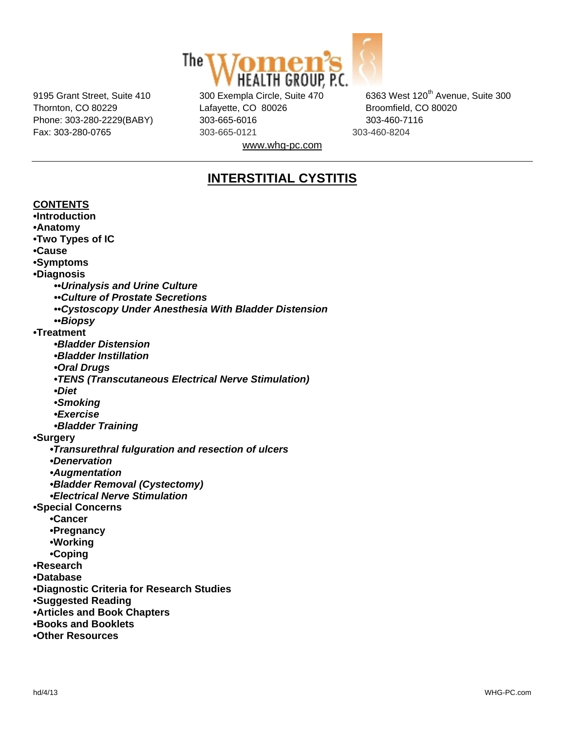

9195 Grant Street, Suite 410 300 Exempla Circle, Suite 470 6363 West 120<sup>th</sup> Avenue, Suite 300 Thornton, CO 80229 Lafayette, CO 80026 Broomfield, CO 80020 Phone: 303-280-2229(BABY) 303-665-6016 303-460-7116 Fax: 303-280-0765 303-665-0121 303-460-8204

www.whg-pc.com

# **INTERSTITIAL CYSTITIS**

| <b>CONTENTS</b>                                       |
|-------------------------------------------------------|
| •Introduction                                         |
| •Anatomy                                              |
| •Two Types of IC                                      |
| •Cause                                                |
| •Symptoms                                             |
| •Diagnosis                                            |
| <b>.</b> Urinalysis and Urine Culture                 |
| <b>Culture of Prostate Secretions</b>                 |
| ••Cystoscopy Under Anesthesia With Bladder Distension |
| ••Biopsy                                              |
| •Treatment                                            |
| <b>•Bladder Distension</b>                            |
| •Bladder Instillation                                 |
| •Oral Drugs                                           |
| •TENS (Transcutaneous Electrical Nerve Stimulation)   |
| •Diet                                                 |
| •Smoking                                              |
| •Exercise                                             |
| •Bladder Training                                     |
| •Surgery                                              |
| •Transurethral fulguration and resection of ulcers    |
| •Denervation                                          |
| <b>Augmentation</b>                                   |
| <i><b>•Bladder Removal (Cystectomy)</b></i>           |
| •Electrical Nerve Stimulation                         |
| <b>•Special Concerns</b>                              |
| •Cancer                                               |
| •Pregnancy                                            |
| •Working                                              |
| •Coping                                               |
| •Research                                             |
| •Database                                             |
| <b>.Diagnostic Criteria for Research Studies</b>      |
| •Suggested Reading                                    |
| <b>*Articles and Book Chapters</b>                    |
| <b>.Books and Booklets</b>                            |
| •Other Resources                                      |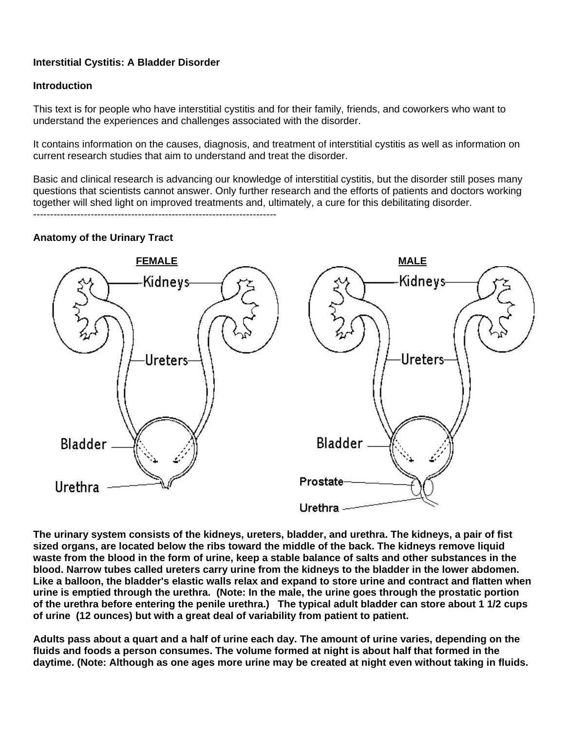# **Interstitial Cystitis: A Bladder Disorder**

# **Introduction**

This text is for people who have interstitial cystitis and for their family, friends, and coworkers who want to understand the experiences and challenges associated with the disorder.

It contains information on the causes, diagnosis, and treatment of interstitial cystitis as well as information on current research studies that aim to understand and treat the disorder.

Basic and clinical research is advancing our knowledge of interstitial cystitis, but the disorder still poses many questions that scientists cannot answer. Only further research and the efforts of patients and doctors working together will shed light on improved treatments and, ultimately, a cure for this debilitating disorder.

------------------------------------------------------------------------

# **Anatomy of the Urinary Tract**



**The urinary system consists of the kidneys, ureters, bladder, and urethra. The kidneys, a pair of fist sized organs, are located below the ribs toward the middle of the back. The kidneys remove liquid waste from the blood in the form of urine, keep a stable balance of salts and other substances in the blood. Narrow tubes called ureters carry urine from the kidneys to the bladder in the lower abdomen. Like a balloon, the bladder's elastic walls relax and expand to store urine and contract and flatten when urine is emptied through the urethra. (Note: In the male, the urine goes through the prostatic portion of the urethra before entering the penile urethra.) The typical adult bladder can store about 1 1/2 cups of urine (12 ounces) but with a great deal of variability from patient to patient.** 

**Adults pass about a quart and a half of urine each day. The amount of urine varies, depending on the fluids and foods a person consumes. The volume formed at night is about half that formed in the daytime. (Note: Although as one ages more urine may be created at night even without taking in fluids.**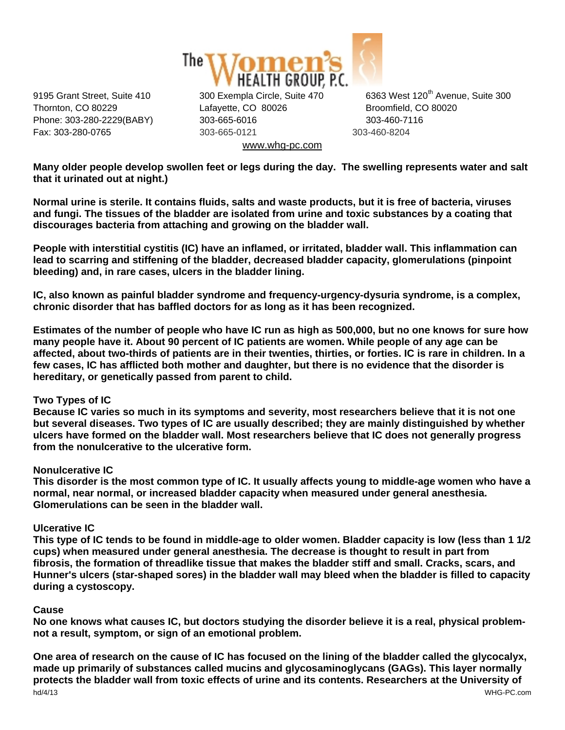

9195 Grant Street, Suite 410 300 Exempla Circle, Suite 470 6363 West 120<sup>th</sup> Avenue, Suite 300

**Many older people develop swollen feet or legs during the day. The swelling represents water and salt that it urinated out at night.)** 

**Normal urine is sterile. It contains fluids, salts and waste products, but it is free of bacteria, viruses and fungi. The tissues of the bladder are isolated from urine and toxic substances by a coating that discourages bacteria from attaching and growing on the bladder wall.** 

**People with interstitial cystitis (IC) have an inflamed, or irritated, bladder wall. This inflammation can lead to scarring and stiffening of the bladder, decreased bladder capacity, glomerulations (pinpoint bleeding) and, in rare cases, ulcers in the bladder lining.** 

**IC, also known as painful bladder syndrome and frequency-urgency-dysuria syndrome, is a complex, chronic disorder that has baffled doctors for as long as it has been recognized.** 

**Estimates of the number of people who have IC run as high as 500,000, but no one knows for sure how many people have it. About 90 percent of IC patients are women. While people of any age can be affected, about two-thirds of patients are in their twenties, thirties, or forties. IC is rare in children. In a few cases, IC has afflicted both mother and daughter, but there is no evidence that the disorder is hereditary, or genetically passed from parent to child.** 

# **Two Types of IC**

**Because IC varies so much in its symptoms and severity, most researchers believe that it is not one but several diseases. Two types of IC are usually described; they are mainly distinguished by whether ulcers have formed on the bladder wall. Most researchers believe that IC does not generally progress from the nonulcerative to the ulcerative form.** 

# **Nonulcerative IC**

**This disorder is the most common type of IC. It usually affects young to middle-age women who have a normal, near normal, or increased bladder capacity when measured under general anesthesia. Glomerulations can be seen in the bladder wall.** 

# **Ulcerative IC**

**This type of IC tends to be found in middle-age to older women. Bladder capacity is low (less than 1 1/2 cups) when measured under general anesthesia. The decrease is thought to result in part from fibrosis, the formation of threadlike tissue that makes the bladder stiff and small. Cracks, scars, and Hunner's ulcers (star-shaped sores) in the bladder wall may bleed when the bladder is filled to capacity during a cystoscopy.** 

# **Cause**

**No one knows what causes IC, but doctors studying the disorder believe it is a real, physical problemnot a result, symptom, or sign of an emotional problem.** 

hd/4/13 WHG-PC.com **One area of research on the cause of IC has focused on the lining of the bladder called the glycocalyx, made up primarily of substances called mucins and glycosaminoglycans (GAGs). This layer normally protects the bladder wall from toxic effects of urine and its contents. Researchers at the University of**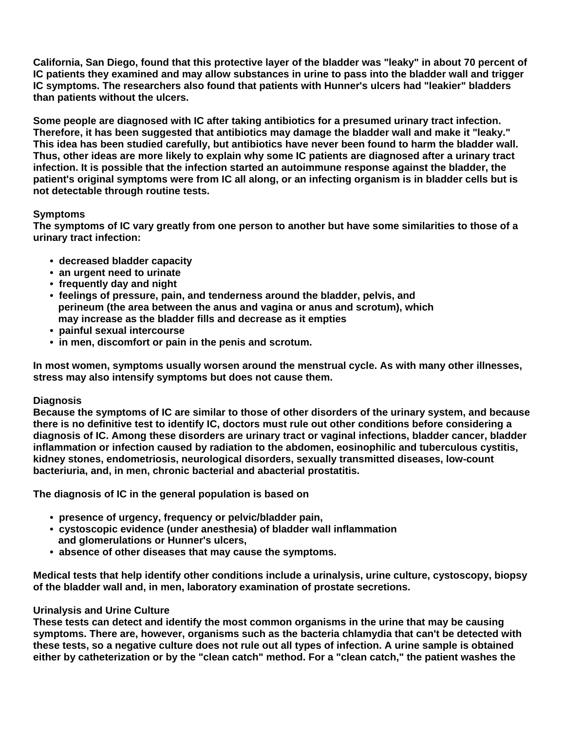**California, San Diego, found that this protective layer of the bladder was "leaky" in about 70 percent of IC patients they examined and may allow substances in urine to pass into the bladder wall and trigger IC symptoms. The researchers also found that patients with Hunner's ulcers had "leakier" bladders than patients without the ulcers.** 

**Some people are diagnosed with IC after taking antibiotics for a presumed urinary tract infection. Therefore, it has been suggested that antibiotics may damage the bladder wall and make it "leaky." This idea has been studied carefully, but antibiotics have never been found to harm the bladder wall. Thus, other ideas are more likely to explain why some IC patients are diagnosed after a urinary tract infection. It is possible that the infection started an autoimmune response against the bladder, the patient's original symptoms were from IC all along, or an infecting organism is in bladder cells but is not detectable through routine tests.** 

# **Symptoms**

**The symptoms of IC vary greatly from one person to another but have some similarities to those of a urinary tract infection:** 

- **decreased bladder capacity**
- **an urgent need to urinate**
- **frequently day and night**
- **feelings of pressure, pain, and tenderness around the bladder, pelvis, and perineum (the area between the anus and vagina or anus and scrotum), which may increase as the bladder fills and decrease as it empties**
- **painful sexual intercourse**
- **in men, discomfort or pain in the penis and scrotum.**

**In most women, symptoms usually worsen around the menstrual cycle. As with many other illnesses, stress may also intensify symptoms but does not cause them.** 

# **Diagnosis**

**Because the symptoms of IC are similar to those of other disorders of the urinary system, and because there is no definitive test to identify IC, doctors must rule out other conditions before considering a diagnosis of IC. Among these disorders are urinary tract or vaginal infections, bladder cancer, bladder inflammation or infection caused by radiation to the abdomen, eosinophilic and tuberculous cystitis, kidney stones, endometriosis, neurological disorders, sexually transmitted diseases, low-count bacteriuria, and, in men, chronic bacterial and abacterial prostatitis.** 

**The diagnosis of IC in the general population is based on** 

- **presence of urgency, frequency or pelvic/bladder pain,**
- **cystoscopic evidence (under anesthesia) of bladder wall inflammation and glomerulations or Hunner's ulcers,**
- **absence of other diseases that may cause the symptoms.**

**Medical tests that help identify other conditions include a urinalysis, urine culture, cystoscopy, biopsy of the bladder wall and, in men, laboratory examination of prostate secretions.** 

# **Urinalysis and Urine Culture**

**These tests can detect and identify the most common organisms in the urine that may be causing symptoms. There are, however, organisms such as the bacteria chlamydia that can't be detected with these tests, so a negative culture does not rule out all types of infection. A urine sample is obtained either by catheterization or by the "clean catch" method. For a "clean catch," the patient washes the**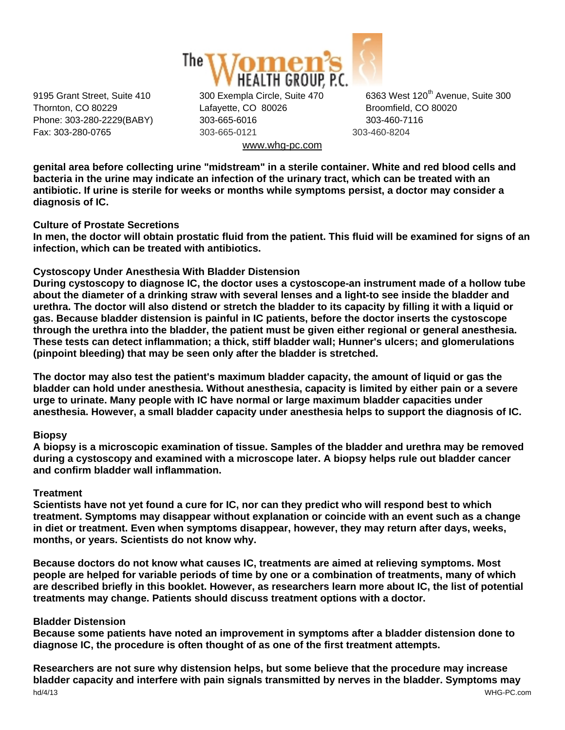

9195 Grant Street, Suite 410 300 Exempla Circle, Suite 470 6363 West 120<sup>th</sup> Avenue, Suite 300

**genital area before collecting urine "midstream" in a sterile container. White and red blood cells and bacteria in the urine may indicate an infection of the urinary tract, which can be treated with an antibiotic. If urine is sterile for weeks or months while symptoms persist, a doctor may consider a diagnosis of IC.** 

# **Culture of Prostate Secretions**

**In men, the doctor will obtain prostatic fluid from the patient. This fluid will be examined for signs of an infection, which can be treated with antibiotics.** 

# **Cystoscopy Under Anesthesia With Bladder Distension**

**During cystoscopy to diagnose IC, the doctor uses a cystoscope-an instrument made of a hollow tube about the diameter of a drinking straw with several lenses and a light-to see inside the bladder and urethra. The doctor will also distend or stretch the bladder to its capacity by filling it with a liquid or gas. Because bladder distension is painful in IC patients, before the doctor inserts the cystoscope through the urethra into the bladder, the patient must be given either regional or general anesthesia. These tests can detect inflammation; a thick, stiff bladder wall; Hunner's ulcers; and glomerulations (pinpoint bleeding) that may be seen only after the bladder is stretched.** 

**The doctor may also test the patient's maximum bladder capacity, the amount of liquid or gas the bladder can hold under anesthesia. Without anesthesia, capacity is limited by either pain or a severe urge to urinate. Many people with IC have normal or large maximum bladder capacities under anesthesia. However, a small bladder capacity under anesthesia helps to support the diagnosis of IC.** 

# **Biopsy**

**A biopsy is a microscopic examination of tissue. Samples of the bladder and urethra may be removed during a cystoscopy and examined with a microscope later. A biopsy helps rule out bladder cancer and confirm bladder wall inflammation.** 

# **Treatment**

**Scientists have not yet found a cure for IC, nor can they predict who will respond best to which treatment. Symptoms may disappear without explanation or coincide with an event such as a change in diet or treatment. Even when symptoms disappear, however, they may return after days, weeks, months, or years. Scientists do not know why.** 

**Because doctors do not know what causes IC, treatments are aimed at relieving symptoms. Most people are helped for variable periods of time by one or a combination of treatments, many of which are described briefly in this booklet. However, as researchers learn more about IC, the list of potential treatments may change. Patients should discuss treatment options with a doctor.** 

# **Bladder Distension**

**Because some patients have noted an improvement in symptoms after a bladder distension done to diagnose IC, the procedure is often thought of as one of the first treatment attempts.** 

hd/4/13 WHG-PC.com **Researchers are not sure why distension helps, but some believe that the procedure may increase bladder capacity and interfere with pain signals transmitted by nerves in the bladder. Symptoms may**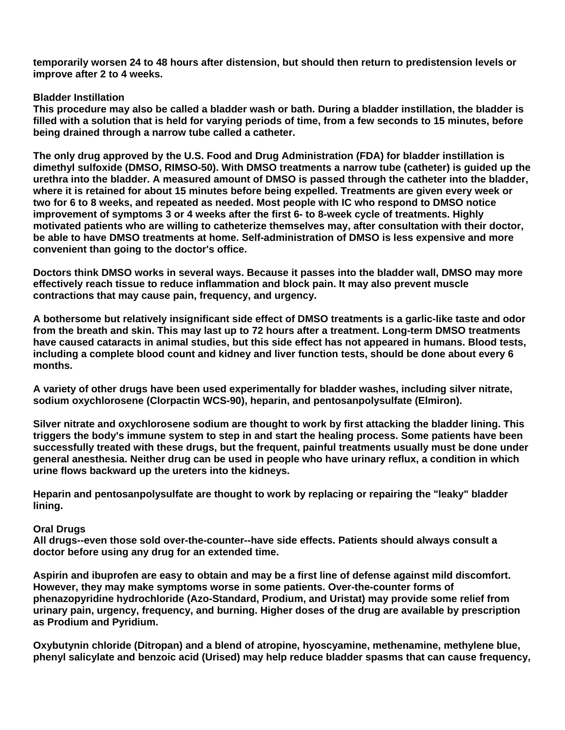**temporarily worsen 24 to 48 hours after distension, but should then return to predistension levels or improve after 2 to 4 weeks.** 

### **Bladder Instillation**

**This procedure may also be called a bladder wash or bath. During a bladder instillation, the bladder is filled with a solution that is held for varying periods of time, from a few seconds to 15 minutes, before being drained through a narrow tube called a catheter.** 

**The only drug approved by the U.S. Food and Drug Administration (FDA) for bladder instillation is dimethyl sulfoxide (DMSO, RIMSO-50). With DMSO treatments a narrow tube (catheter) is guided up the urethra into the bladder. A measured amount of DMSO is passed through the catheter into the bladder, where it is retained for about 15 minutes before being expelled. Treatments are given every week or two for 6 to 8 weeks, and repeated as needed. Most people with IC who respond to DMSO notice improvement of symptoms 3 or 4 weeks after the first 6- to 8-week cycle of treatments. Highly motivated patients who are willing to catheterize themselves may, after consultation with their doctor, be able to have DMSO treatments at home. Self-administration of DMSO is less expensive and more convenient than going to the doctor's office.** 

**Doctors think DMSO works in several ways. Because it passes into the bladder wall, DMSO may more effectively reach tissue to reduce inflammation and block pain. It may also prevent muscle contractions that may cause pain, frequency, and urgency.** 

**A bothersome but relatively insignificant side effect of DMSO treatments is a garlic-like taste and odor from the breath and skin. This may last up to 72 hours after a treatment. Long-term DMSO treatments have caused cataracts in animal studies, but this side effect has not appeared in humans. Blood tests, including a complete blood count and kidney and liver function tests, should be done about every 6 months.** 

**A variety of other drugs have been used experimentally for bladder washes, including silver nitrate, sodium oxychlorosene (Clorpactin WCS-90), heparin, and pentosanpolysulfate (Elmiron).** 

**Silver nitrate and oxychlorosene sodium are thought to work by first attacking the bladder lining. This triggers the body's immune system to step in and start the healing process. Some patients have been successfully treated with these drugs, but the frequent, painful treatments usually must be done under general anesthesia. Neither drug can be used in people who have urinary reflux, a condition in which urine flows backward up the ureters into the kidneys.** 

**Heparin and pentosanpolysulfate are thought to work by replacing or repairing the "leaky" bladder lining.** 

#### **Oral Drugs**

**All drugs--even those sold over-the-counter--have side effects. Patients should always consult a doctor before using any drug for an extended time.** 

**Aspirin and ibuprofen are easy to obtain and may be a first line of defense against mild discomfort. However, they may make symptoms worse in some patients. Over-the-counter forms of phenazopyridine hydrochloride (Azo-Standard, Prodium, and Uristat) may provide some relief from urinary pain, urgency, frequency, and burning. Higher doses of the drug are available by prescription as Prodium and Pyridium.** 

**Oxybutynin chloride (Ditropan) and a blend of atropine, hyoscyamine, methenamine, methylene blue, phenyl salicylate and benzoic acid (Urised) may help reduce bladder spasms that can cause frequency,**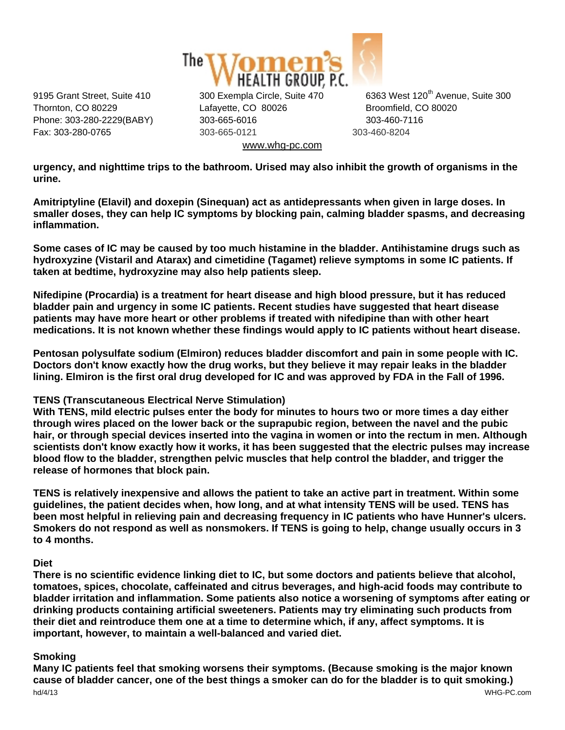

9195 Grant Street, Suite 410 300 Exempla Circle, Suite 470 6363 West 120<sup>th</sup> Avenue, Suite 300

**urgency, and nighttime trips to the bathroom. Urised may also inhibit the growth of organisms in the urine.** 

**Amitriptyline (Elavil) and doxepin (Sinequan) act as antidepressants when given in large doses. In smaller doses, they can help IC symptoms by blocking pain, calming bladder spasms, and decreasing inflammation.** 

**Some cases of IC may be caused by too much histamine in the bladder. Antihistamine drugs such as hydroxyzine (Vistaril and Atarax) and cimetidine (Tagamet) relieve symptoms in some IC patients. If taken at bedtime, hydroxyzine may also help patients sleep.** 

**Nifedipine (Procardia) is a treatment for heart disease and high blood pressure, but it has reduced bladder pain and urgency in some IC patients. Recent studies have suggested that heart disease patients may have more heart or other problems if treated with nifedipine than with other heart medications. It is not known whether these findings would apply to IC patients without heart disease.** 

**Pentosan polysulfate sodium (Elmiron) reduces bladder discomfort and pain in some people with IC. Doctors don't know exactly how the drug works, but they believe it may repair leaks in the bladder lining. Elmiron is the first oral drug developed for IC and was approved by FDA in the Fall of 1996.** 

# **TENS (Transcutaneous Electrical Nerve Stimulation)**

**With TENS, mild electric pulses enter the body for minutes to hours two or more times a day either through wires placed on the lower back or the suprapubic region, between the navel and the pubic hair, or through special devices inserted into the vagina in women or into the rectum in men. Although scientists don't know exactly how it works, it has been suggested that the electric pulses may increase blood flow to the bladder, strengthen pelvic muscles that help control the bladder, and trigger the release of hormones that block pain.** 

**TENS is relatively inexpensive and allows the patient to take an active part in treatment. Within some guidelines, the patient decides when, how long, and at what intensity TENS will be used. TENS has been most helpful in relieving pain and decreasing frequency in IC patients who have Hunner's ulcers. Smokers do not respond as well as nonsmokers. If TENS is going to help, change usually occurs in 3 to 4 months.** 

# **Diet**

**There is no scientific evidence linking diet to IC, but some doctors and patients believe that alcohol, tomatoes, spices, chocolate, caffeinated and citrus beverages, and high-acid foods may contribute to bladder irritation and inflammation. Some patients also notice a worsening of symptoms after eating or drinking products containing artificial sweeteners. Patients may try eliminating such products from their diet and reintroduce them one at a time to determine which, if any, affect symptoms. It is important, however, to maintain a well-balanced and varied diet.** 

# **Smoking**

hd/4/13 WHG-PC.com **Many IC patients feel that smoking worsens their symptoms. (Because smoking is the major known cause of bladder cancer, one of the best things a smoker can do for the bladder is to quit smoking.)**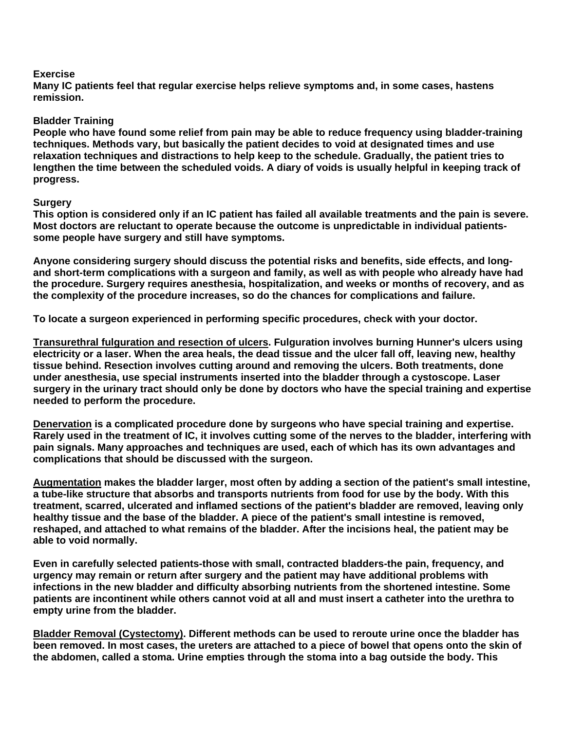# **Exercise**

**Many IC patients feel that regular exercise helps relieve symptoms and, in some cases, hastens remission.** 

#### **Bladder Training**

**People who have found some relief from pain may be able to reduce frequency using bladder-training techniques. Methods vary, but basically the patient decides to void at designated times and use relaxation techniques and distractions to help keep to the schedule. Gradually, the patient tries to lengthen the time between the scheduled voids. A diary of voids is usually helpful in keeping track of progress.** 

#### **Surgery**

**This option is considered only if an IC patient has failed all available treatments and the pain is severe. Most doctors are reluctant to operate because the outcome is unpredictable in individual patientssome people have surgery and still have symptoms.** 

**Anyone considering surgery should discuss the potential risks and benefits, side effects, and longand short-term complications with a surgeon and family, as well as with people who already have had the procedure. Surgery requires anesthesia, hospitalization, and weeks or months of recovery, and as the complexity of the procedure increases, so do the chances for complications and failure.** 

**To locate a surgeon experienced in performing specific procedures, check with your doctor.** 

**Transurethral fulguration and resection of ulcers. Fulguration involves burning Hunner's ulcers using electricity or a laser. When the area heals, the dead tissue and the ulcer fall off, leaving new, healthy tissue behind. Resection involves cutting around and removing the ulcers. Both treatments, done under anesthesia, use special instruments inserted into the bladder through a cystoscope. Laser surgery in the urinary tract should only be done by doctors who have the special training and expertise needed to perform the procedure.** 

**Denervation is a complicated procedure done by surgeons who have special training and expertise. Rarely used in the treatment of IC, it involves cutting some of the nerves to the bladder, interfering with pain signals. Many approaches and techniques are used, each of which has its own advantages and complications that should be discussed with the surgeon.** 

**Augmentation makes the bladder larger, most often by adding a section of the patient's small intestine, a tube-like structure that absorbs and transports nutrients from food for use by the body. With this treatment, scarred, ulcerated and inflamed sections of the patient's bladder are removed, leaving only healthy tissue and the base of the bladder. A piece of the patient's small intestine is removed, reshaped, and attached to what remains of the bladder. After the incisions heal, the patient may be able to void normally.** 

**Even in carefully selected patients-those with small, contracted bladders-the pain, frequency, and urgency may remain or return after surgery and the patient may have additional problems with infections in the new bladder and difficulty absorbing nutrients from the shortened intestine. Some patients are incontinent while others cannot void at all and must insert a catheter into the urethra to empty urine from the bladder.** 

**Bladder Removal (Cystectomy). Different methods can be used to reroute urine once the bladder has been removed. In most cases, the ureters are attached to a piece of bowel that opens onto the skin of the abdomen, called a stoma. Urine empties through the stoma into a bag outside the body. This**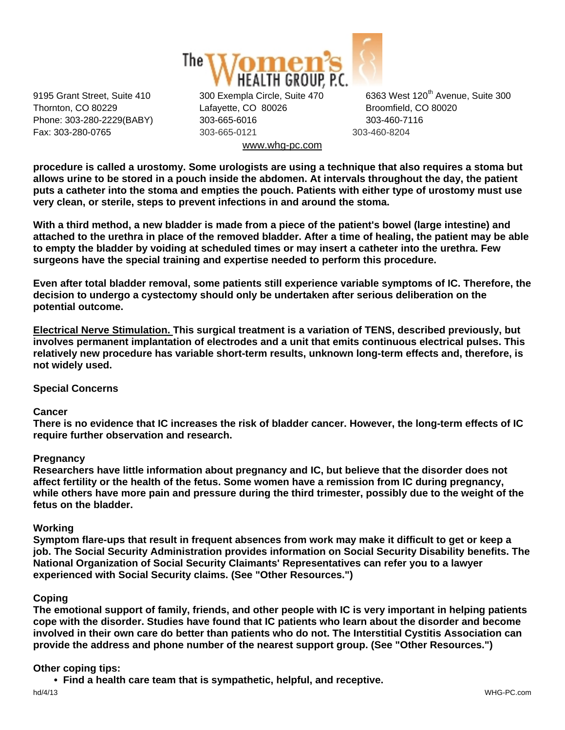

9195 Grant Street, Suite 410 300 Exempla Circle, Suite 470 6363 West 120<sup>th</sup> Avenue, Suite 300

**procedure is called a urostomy. Some urologists are using a technique that also requires a stoma but allows urine to be stored in a pouch inside the abdomen. At intervals throughout the day, the patient puts a catheter into the stoma and empties the pouch. Patients with either type of urostomy must use very clean, or sterile, steps to prevent infections in and around the stoma.** 

**With a third method, a new bladder is made from a piece of the patient's bowel (large intestine) and attached to the urethra in place of the removed bladder. After a time of healing, the patient may be able to empty the bladder by voiding at scheduled times or may insert a catheter into the urethra. Few surgeons have the special training and expertise needed to perform this procedure.** 

**Even after total bladder removal, some patients still experience variable symptoms of IC. Therefore, the decision to undergo a cystectomy should only be undertaken after serious deliberation on the potential outcome.** 

**Electrical Nerve Stimulation. This surgical treatment is a variation of TENS, described previously, but involves permanent implantation of electrodes and a unit that emits continuous electrical pulses. This relatively new procedure has variable short-term results, unknown long-term effects and, therefore, is not widely used.** 

**Special Concerns** 

# **Cancer**

**There is no evidence that IC increases the risk of bladder cancer. However, the long-term effects of IC require further observation and research.** 

# **Pregnancy**

**Researchers have little information about pregnancy and IC, but believe that the disorder does not affect fertility or the health of the fetus. Some women have a remission from IC during pregnancy, while others have more pain and pressure during the third trimester, possibly due to the weight of the fetus on the bladder.** 

# **Working**

**Symptom flare-ups that result in frequent absences from work may make it difficult to get or keep a job. The Social Security Administration provides information on Social Security Disability benefits. The National Organization of Social Security Claimants' Representatives can refer you to a lawyer experienced with Social Security claims. (See "Other Resources.")** 

# **Coping**

**The emotional support of family, friends, and other people with IC is very important in helping patients cope with the disorder. Studies have found that IC patients who learn about the disorder and become involved in their own care do better than patients who do not. The Interstitial Cystitis Association can provide the address and phone number of the nearest support group. (See "Other Resources.")** 

# **Other coping tips:**

**• Find a health care team that is sympathetic, helpful, and receptive.**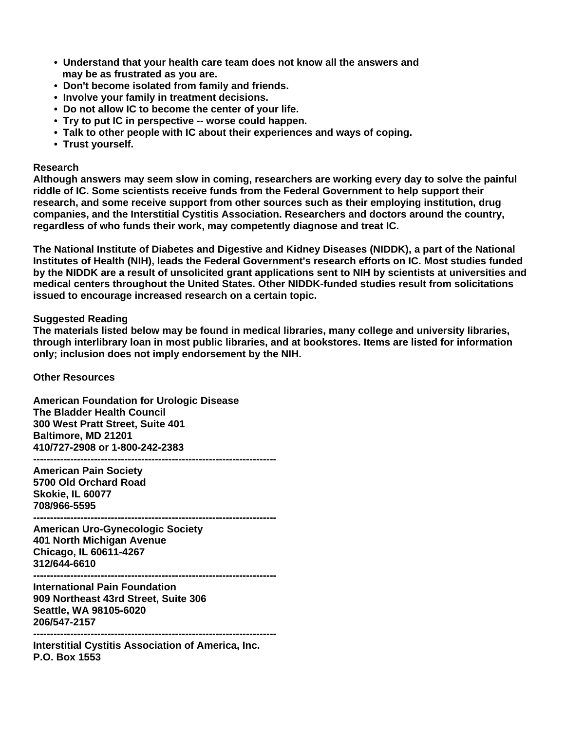- **Understand that your health care team does not know all the answers and may be as frustrated as you are.**
- **Don't become isolated from family and friends.**
- **Involve your family in treatment decisions.**
- **Do not allow IC to become the center of your life.**
- **Try to put IC in perspective -- worse could happen.**
- **Talk to other people with IC about their experiences and ways of coping.**
- **Trust yourself.**

# **Research**

**Although answers may seem slow in coming, researchers are working every day to solve the painful riddle of IC. Some scientists receive funds from the Federal Government to help support their research, and some receive support from other sources such as their employing institution, drug companies, and the Interstitial Cystitis Association. Researchers and doctors around the country, regardless of who funds their work, may competently diagnose and treat IC.** 

**The National Institute of Diabetes and Digestive and Kidney Diseases (NIDDK), a part of the National Institutes of Health (NIH), leads the Federal Government's research efforts on IC. Most studies funded by the NIDDK are a result of unsolicited grant applications sent to NIH by scientists at universities and medical centers throughout the United States. Other NIDDK-funded studies result from solicitations issued to encourage increased research on a certain topic.** 

# **Suggested Reading**

**The materials listed below may be found in medical libraries, many college and university libraries, through interlibrary loan in most public libraries, and at bookstores. Items are listed for information only; inclusion does not imply endorsement by the NIH.** 

**Other Resources** 

**American Foundation for Urologic Disease The Bladder Health Council 300 West Pratt Street, Suite 401 Baltimore, MD 21201 410/727-2908 or 1-800-242-2383 ------------------------------------------------------------------------** 

**American Pain Society 5700 Old Orchard Road Skokie, IL 60077 708/966-5595** 

**------------------------------------------------------------------------ American Uro-Gynecologic Society 401 North Michigan Avenue Chicago, IL 60611-4267 312/644-6610** 

**International Pain Foundation 909 Northeast 43rd Street, Suite 306 Seattle, WA 98105-6020 206/547-2157 ------------------------------------------------------------------------** 

**Interstitial Cystitis Association of America, Inc. P.O. Box 1553** 

**------------------------------------------------------------------------**